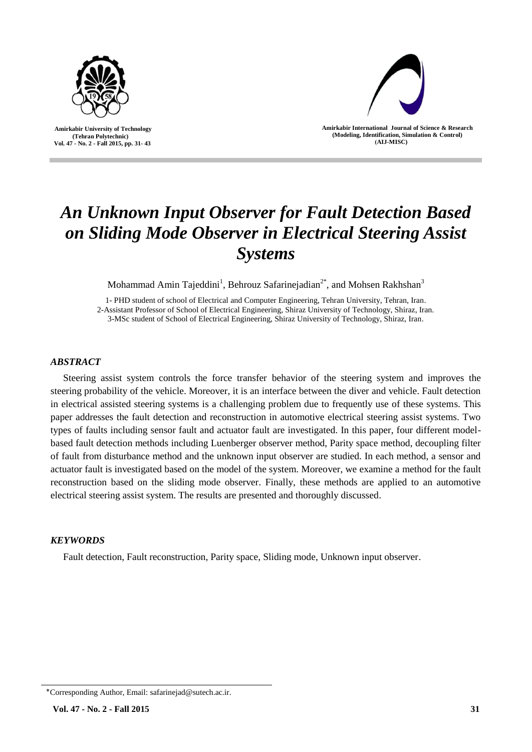

 **Amirkabir University of Technology (Tehran Polytechnic) Vol. 47 - No. 2 - Fall 2015, pp. 31- 43**



**Amirkabir International Journal of Science & Research (Modeling, Identification, Simulation & Control) )AIJ-MISC)**

# *An Unknown Input Observer for Fault Detection Based on Sliding Mode Observer in Electrical Steering Assist Systems*

Mohammad Amin Tajeddini<sup>1</sup>, Behrouz Safarinejadian<sup>2\*</sup>, and Mohsen Rakhshan<sup>3</sup>

1- PHD student of school of Electrical and Computer Engineering, Tehran University, Tehran, Iran. 2-Assistant Professor of School of Electrical Engineering, Shiraz University of Technology, Shiraz, Iran. 3-MSc student of School of Electrical Engineering, Shiraz University of Technology, Shiraz, Iran.

# *ABSTRACT*

Steering assist system controls the force transfer behavior of the steering system and improves the steering probability of the vehicle. Moreover, it is an interface between the diver and vehicle. Fault detection in electrical assisted steering systems is a challenging problem due to frequently use of these systems. This paper addresses the fault detection and reconstruction in automotive electrical steering assist systems. Two types of faults including sensor fault and actuator fault are investigated. In this paper, four different modelbased fault detection methods including Luenberger observer method, Parity space method, decoupling filter of fault from disturbance method and the unknown input observer are studied. In each method, a sensor and actuator fault is investigated based on the model of the system. Moreover, we examine a method for the fault reconstruction based on the sliding mode observer. Finally, these methods are applied to an automotive electrical steering assist system. The results are presented and thoroughly discussed.

# *KEYWORDS*

Fault detection, Fault reconstruction, Parity space, Sliding mode, Unknown input observer.

<sup>٭</sup>Corresponding Author, Email: safarinejad@sutech.ac.ir.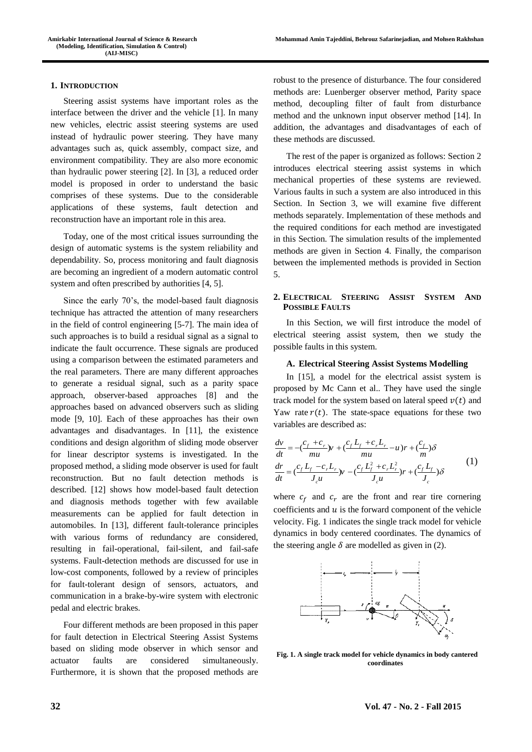#### **1. INTRODUCTION**

Steering assist systems have important roles as the interface between the driver and the vehicle [\[1\]](#page-11-0). In many new vehicles, electric assist steering systems are used instead of hydraulic power steering. They have many advantages such as, quick assembly, compact size, and environment compatibility. They are also more economic than hydraulic power steering [\[2\]](#page-11-1). In [\[3\]](#page-11-2), a reduced order model is proposed in order to understand the basic comprises of these systems. Due to the considerable applications of these systems, fault detection and reconstruction have an important role in this area.

Today, one of the most critical issues surrounding the design of automatic systems is the system reliability and dependability. So, process monitoring and fault diagnosis are becoming an ingredient of a modern automatic control system and often prescribed by authorities [\[4,](#page-11-3) [5\]](#page-11-4).

Since the early 70's, the model-based fault diagnosis technique has attracted the attention of many researchers in the field of control engineering [\[5-7\]](#page-11-4). The main idea of such approaches is to build a residual signal as a signal to indicate the fault occurrence. These signals are produced using a comparison between the estimated parameters and the real parameters. There are many different approaches to generate a residual signal, such as a parity space approach, observer-based approaches [\[8\]](#page-11-5) and the approaches based on advanced observers such as sliding mode [\[9,](#page-11-6) [10\]](#page-11-7). Each of these approaches has their own advantages and disadvantages. In [\[11\]](#page-11-8), the existence conditions and design algorithm of sliding mode observer for linear descriptor systems is investigated. In the proposed method, a sliding mode observer is used for fault reconstruction. But no fault detection methods is described. [\[12\]](#page-11-9) shows how model-based fault detection and diagnosis methods together with few available measurements can be applied for fault detection in automobiles. In [\[13\]](#page-11-10), different fault-tolerance principles with various forms of redundancy are considered, resulting in fail-operational, fail-silent, and fail-safe systems. Fault-detection methods are discussed for use in low-cost components, followed by a review of principles for fault-tolerant design of sensors, actuators, and communication in a brake-by-wire system with electronic pedal and electric brakes.

Four different methods are been proposed in this paper for fault detection in Electrical Steering Assist Systems based on sliding mode observer in which sensor and actuator faults are considered simultaneously. Furthermore, it is shown that the proposed methods are robust to the presence of disturbance. The four considered methods are: Luenberger observer method, Parity space method, decoupling filter of fault from disturbance method and the unknown input observer method [14]. In addition, the advantages and disadvantages of each of these methods are discussed.

The rest of the paper is organized as follows: Section 2 introduces electrical steering assist systems in which mechanical properties of these systems are reviewed. Various faults in such a system are also introduced in this Section. In Section 3, we will examine five different methods separately. Implementation of these methods and the required conditions for each method are investigated in this Section. The simulation results of the implemented methods are given in Section 4. Finally, the comparison between the implemented methods is provided in Section 5.

# **2. ELECTRICAL STEERING ASSIST SYSTEM AND POSSIBLE FAULTS**

In this Section, we will first introduce the model of electrical steering assist system, then we study the possible faults in this system.

#### **A. Electrical Steering Assist Systems Modelling**

In [\[15\]](#page-11-11), a model for the electrical assist system is proposed by Mc Cann et al.. They have used the single track model for the system based on lateral speed  $v(t)$  and Yaw rate  $r(t)$ . The state-space equations for these two variables are described as:

$$
\frac{dv}{dt} = -\frac{c_f + c_r}{mu} y + \frac{c_f L_f + c_r L_r}{mu} - u \, r + \frac{c_f}{m} \delta
$$
\n
$$
\frac{dr}{dt} = \frac{c_f L_f - c_r L_r}{J_c u} y - \frac{c_f L_f^2 + c_r L_r^2}{J_c u} r + \frac{c_f L_f}{J_c} \delta
$$
\n(1)

where  $c_f$  and  $c_r$  are the front and rear tire cornering coefficients and  $u$  is the forward component of the vehicle velocity. Fig. 1 indicates the single track model for vehicle dynamics in body centered coordinates. The dynamics of the steering angle  $\delta$  are modelled as given in (2).



**Fig. 1. A single track model for vehicle dynamics in body cantered coordinates**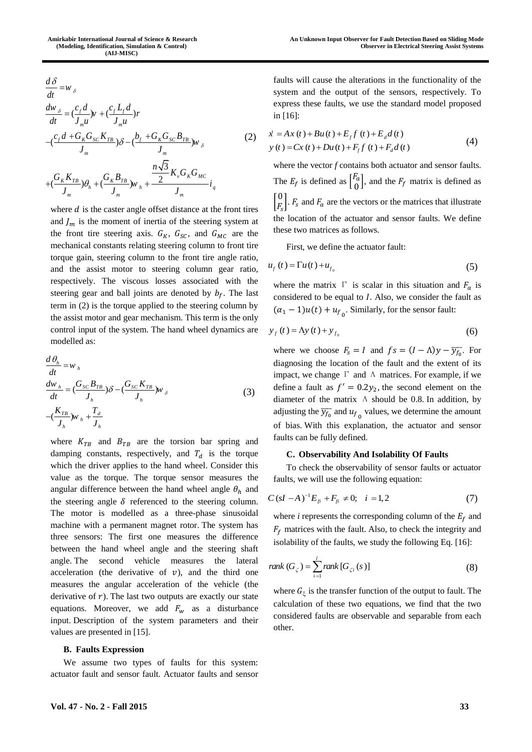$$
\frac{d\delta}{dt} = w_{\delta}
$$
\n
$$
\frac{dw_{\delta}}{dt} = \left(\frac{c_f d}{J_m u}\right) v + \left(\frac{c_f L_f d}{J_m u}\right) r
$$
\n
$$
-\left(\frac{c_f d + G_K G_{SC} K_{TB}}{J_m}\right) \delta - \left(\frac{b_f + G_K G_{SC} B_{TB}}{J_m}\right) w_{\delta}
$$
\n
$$
+\left(\frac{G_K K_{TB}}{J_m}\right) \theta_h + \left(\frac{G_K B_{TB}}{J_m}\right) w_h + \frac{\frac{n\sqrt{3}}{2} K_v G_K G_{MC}}{J_m} i_q
$$
\n(2)

where  $d$  is the caster angle offset distance at the front tires and  $J_m$  is the moment of inertia of the steering system at the front tire steering axis.  $G_K$ ,  $G_{SC}$ , and  $G_{MC}$  are the mechanical constants relating steering column to front tire torque gain, steering column to the front tire angle ratio, and the assist motor to steering column gear ratio, respectively. The viscous losses associated with the steering gear and ball joints are denoted by  $b_f$ . The last term in (2) is the torque applied to the steering column by the assist motor and gear mechanism. This term is the only control input of the system. The hand wheel dynamics are modelled as:

$$
\frac{d\theta_h}{dt} = w_h
$$
\n
$$
\frac{dw_h}{dt} = \left(\frac{G_{SC}B_{TB}}{J_h}\right)\delta - \left(\frac{G_{SC}K_{TB}}{J_h}\right)w_{\delta}
$$
\n
$$
-\left(\frac{K_{TB}}{J_h}\right)w_h + \frac{T_d}{J_h}
$$
\n(3)

**Vol. 47**  $\frac{W_2}{2} = \frac{(y_1 d_1 - y_1 c_2 y_1)}{(x_1 x_2 y_1 + y_1 c_2 y_1 + y_1 c_2 y_1)}$ <br> **Vol. 48**  $\frac{W_2}{2} = \frac{(y_1 d_1 - y_1 c_2 y_1)}{(x_1 x_2 y_1 + y_1 c_2 y_1 + y_1 c_2 y_1)}$ <br> **Vol. 49**  $\left[\frac{(y_1 d_1 - y_1 c_2 y_1)}{(x_1 x_2 y_1 + y_1 c_2 y_1 + y_1 c_2 y_1)}\right]$ <br> where  $K_{TB}$  and  $B_{TB}$  are the torsion bar spring and damping constants, respectively, and  $T_d$  is the torque which the driver applies to the hand wheel. Consider this value as the torque. The torque sensor measures the angular difference between the hand wheel angle  $\theta_h$  and the steering angle  $\delta$  referenced to the steering column. The motor is modelled as a three-phase sinusoidal machine with a permanent magnet rotor. The system has three sensors: The first one measures the difference between the hand wheel angle and the steering shaft angle. The second vehicle measures the lateral acceleration (the derivative of  $v$ ), and the third one measures the angular acceleration of the vehicle (the derivative of  $r$ ). The last two outputs are exactly our state equations. Moreover, we add  $F_w$  as a disturbance input. Description of the system parameters and their values are presented in [\[15\]](#page-11-11).

#### **B. Faults Expression**

We assume two types of faults for this system: actuator fault and sensor fault. Actuator faults and sensor faults will cause the alterations in the functionality of the system and the output of the sensors, respectively. To express these faults, we use the standard model proposed in [\[16\]](#page-11-12):

$$
\dot{x} = Ax(t) + Bu(t) + E_f f(t) + E_d d(t)
$$
  
\n
$$
y(t) = Cx(t) + Du(t) + F_f f(t) + F_d d(t)
$$
\n(4)

where the vector *f* contains both actuator and sensor faults. The  $E_f$  is defined as  $\begin{bmatrix} F_a \\ 0 \end{bmatrix}$  $\begin{bmatrix} a & b \\ 0 & b \end{bmatrix}$ , and the  $F_f$  matrix is defined as  $\begin{bmatrix} 0 \\ 0 \\ 0 \end{bmatrix}$  $\begin{bmatrix} 0 \\ F_s \end{bmatrix}$ .  $F_s$  and  $F_a$  are the vectors or the matrices that illustrate the location of the actuator and sensor faults. We define these two matrices as follows.

First, we define the actuator fault:

$$
u_f(t) = \Gamma u(t) + u_{f_0} \tag{5}
$$

where the matrix  $\Gamma$  is scalar in this situation and  $F_a$  is considered to be equal to  $I$ . Also, we consider the fault as  $(\alpha_1 - 1)u(t) + u_{f_0}$ . Similarly, for the sensor fault:

$$
y_f(t) = \Lambda y(t) + y_{f_0}
$$
 (6)

where we choose  $F_s = I$  and  $fs = (I - \Lambda)y - \overline{y_{f_0}}$ . For diagnosing the location of the fault and the extent of its impact, we change  $\Gamma$  and  $\Lambda$  matrices. For example, if we define a fault as  $f' = 0.2y_2$ , the second element on the diameter of the matrix  $\Lambda$  should be 0.8. In addition, by adjusting the  $\overline{y_{f_0}}$  and  $u_{f_0}$  values, we determine the amount of bias. With this explanation, the actuator and sensor faults can be fully defined.

## **C. Observability And Isolability Of Faults**

To check the observability of sensor faults or actuator faults, we will use the following equation:

$$
C(sI - A)^{-1}E_{fi} + F_{fi} \neq 0; \quad i = 1, 2
$$
 (7)

where *i* represents the corresponding column of the  $E_f$  and  $F_f$  matrices with the fault. Also, to check the integrity and isolability of the faults, we study the following Eq. [\[16\]](#page-11-12):

$$
rank(G_{\zeta}) = \sum_{i=1}^{l} rank[G_{\zeta i}(s)]
$$
\n(8)

where  $G_{\xi}$  is the transfer function of the output to fault. The calculation of these two equations, we find that the two considered faults are observable and separable from each other.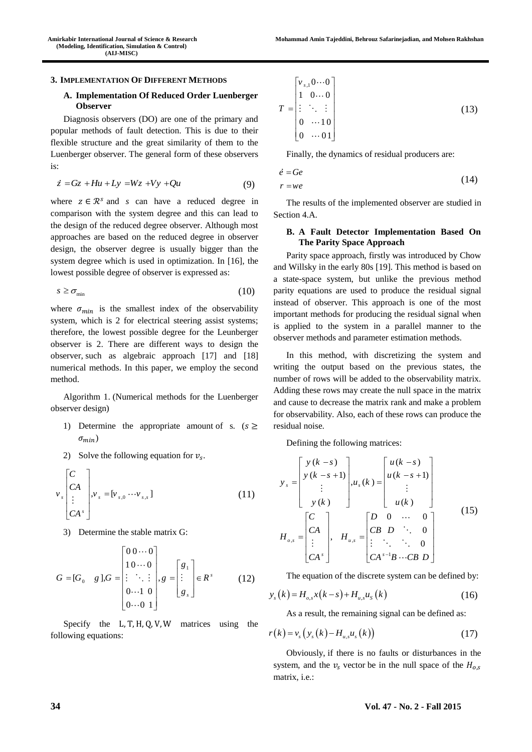#### **3. IMPLEMENTATION OF DIFFERENT METHODS**

## **A. Implementation Of Reduced Order Luenberger Observer**

Diagnosis observers (DO) are one of the primary and popular methods of fault detection. This is due to their flexible structure and the great similarity of them to the Luenberger observer. The general form of these observers is:

$$
\dot{z} = Gz + Hu + Ly = Wz + Vy + Qu \tag{9}
$$

where  $z \in \mathbb{R}^s$  and *s* can have a reduced degree in comparison with the system degree and this can lead to the design of the reduced degree observer. Although most approaches are based on the reduced degree in observer design, the observer degree is usually bigger than the system degree which is used in optimization. In [\[16\]](#page-11-12), the lowest possible degree of observer is expressed as:

$$
s \geq \sigma_{\min} \tag{10}
$$

where  $\sigma_{min}$  is the smallest index of the observability system, which is 2 for electrical steering assist systems; therefore, the lowest possible degree for the Leunberger observer is 2. There are different ways to design the observer, such as algebraic approach [\[17\]](#page-11-13) and [\[18\]](#page-12-0) numerical methods. In this paper, we employ the second method.

Algorithm 1. (Numerical methods for the Luenberger observer design)

- 1) Determine the appropriate amount of s.  $(s > 1)$  $\sigma_{min}$ )
- 2) Solve the following equation for  $v_s$ .

$$
\nu_s \begin{bmatrix} C \\ CA \\ \vdots \\ CA^s \end{bmatrix}, \nu_s = [\nu_{s,0} \cdots \nu_{s,s}]
$$
 (11)

3) Determine the stable matrix G:

$$
G = [G_0 \quad g], G = \begin{bmatrix} 0 & 0 & \cdots & 0 \\ 1 & 0 & \cdots & 0 \\ \vdots & \ddots & \vdots & \vdots \\ 0 & \cdots & 1 & 0 \\ 0 & \cdots & 0 & 1 \end{bmatrix}, g = \begin{bmatrix} g_1 \\ \vdots \\ g_s \end{bmatrix} \in R^s \qquad (12)
$$

Specify the  $L, T, H, Q, V, W$  matrices using the following equations:

$$
T = \begin{bmatrix} v_{s,1} 0 \cdots 0 \\ 1 & 0 \cdots 0 \\ \vdots & \ddots & \vdots \\ 0 & \cdots 10 \\ 0 & \cdots 01 \end{bmatrix}
$$
 (13)

Finally, the dynamics of residual producers are:

 $r = we$ 

$$
\dot{e} = Ge \tag{14}
$$

The results of the implemented observer are studied in Section 4.A.

## **B. A Fault Detector Implementation Based On The Parity Space Approach**

Parity space approach, firstly was introduced by Chow and Willsky in the early 80s [\[19\]](#page-12-1). This method is based on a state-space system, but unlike the previous method parity equations are used to produce the residual signal instead of observer. This approach is one of the most important methods for producing the residual signal when is applied to the system in a parallel manner to the observer methods and parameter estimation methods.

In this method, with discretizing the system and writing the output based on the previous states, the number of rows will be added to the observability matrix. Adding these rows may create the null space in the matrix and cause to decrease the matrix rank and make a problem for observability. Also, each of these rows can produce the residual noise.

Defining the following matrices:

$$
y_{s} = \begin{bmatrix} y(k-s) \\ y(k-s+1) \\ \vdots \\ y(k) \end{bmatrix}, u_{s}(k) = \begin{bmatrix} u(k-s) \\ u(k-s+1) \\ \vdots \\ u(k) \end{bmatrix}
$$
  
\n
$$
H_{o,s} = \begin{bmatrix} C \\ CA \\ \vdots \\ CA^{s} \end{bmatrix}, H_{u,s} = \begin{bmatrix} D & 0 & \cdots & 0 \\ CB & D & \ddots & 0 \\ \vdots & \ddots & \ddots & 0 \\ CA^{s-1}B & \cdots CB & D \end{bmatrix}
$$
 (15)

The equation of the discrete system can be defined by:

$$
y_{s}(k) = H_{o,s}x(k-s) + H_{u,s}u_{s}(k)
$$
\n(16)

As a result, the remaining signal can be defined as:

$$
r(k) = v_s \left( y_s(k) - H_{u,s} u_s(k) \right) \tag{17}
$$

Obviously, if there is no faults or disturbances in the system, and the  $v_s$  vector be in the null space of the  $H_{0,s}$ matrix, i.e.: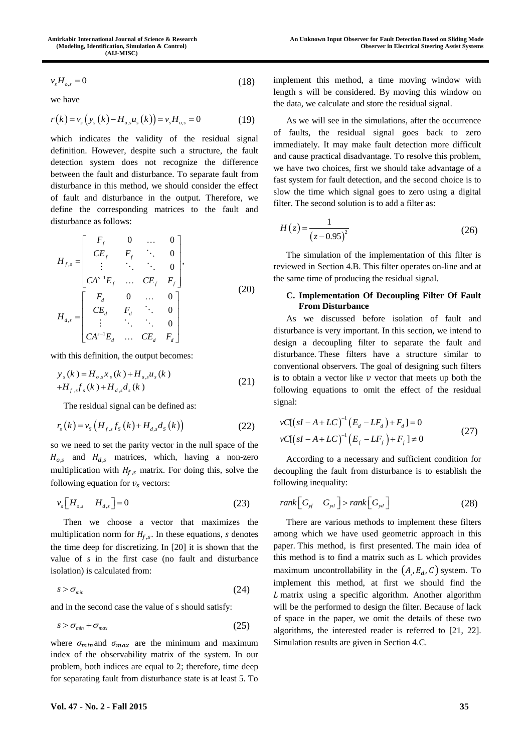$$
v_s H_{o,s} = 0 \tag{18}
$$

we have

$$
r(k) = v_s(y_s(k) - H_{u,s}u_s(k)) = v_s H_{o,s} = 0
$$
 (19)

which indicates the validity of the residual signal definition. However, despite such a structure, the fault detection system does not recognize the difference between the fault and disturbance. To separate fault from disturbance in this method, we should consider the effect of fault and disturbance in the output. Therefore, we define the corresponding matrices to the fault and disturbance as follows:

$$
H_{f,s} = \begin{bmatrix} F_f & 0 & \dots & 0 \\ CE_f & F_f & \ddots & 0 \\ \vdots & \ddots & \ddots & 0 \\ CA^{s-1}E_f & \dots & CE_f & F_f \end{bmatrix},
$$
  
\n
$$
H_{d,s} = \begin{bmatrix} F_d & 0 & \dots & 0 \\ CE_d & F_d & \ddots & 0 \\ \vdots & \ddots & \ddots & 0 \\ CA^{s-1}E_d & \dots & CE_d & F_d \end{bmatrix}
$$
 (20)

with this definition, the output becomes:

$$
y_{s}(k) = H_{o,s}x_{s}(k) + H_{u,s}u_{s}(k) + H_{f,s}f_{s}(k) + H_{d,s}d_{s}(k)
$$
\n(21)

The residual signal can be defined as:

$$
r_{s}(k) = v_{s}(H_{f,s}f_{s}(k) + H_{d,s}d_{s}(k))
$$
\n(22)

so we need to set the parity vector in the null space of the  $H_{0.5}$  and  $H_{d.5}$  matrices, which, having a non-zero multiplication with  $H_{f,s}$  matrix. For doing this, solve the following equation for  $v_s$  vectors:

$$
\nu_s \left[ H_{o,s} - H_{d,s} \right] = 0 \tag{23}
$$

Then we choose a vector that maximizes the multiplication norm for  $H_{f,s}$ . In these equations, *s* denotes the time deep for discretizing. In [\[20\]](#page-12-2) it is shown that the value of *s* in the first case (no fault and disturbance isolation) is calculated from:

$$
s > \sigma_{\min} \tag{24}
$$

and in the second case the value of s should satisfy:

$$
s > \sigma_{\min} + \sigma_{\max} \tag{25}
$$

where  $\sigma_{min}$  and  $\sigma_{max}$  are the minimum and maximum index of the observability matrix of the system. In our problem, both indices are equal to 2; therefore, time deep for separating fault from disturbance state is at least 5. To

implement this method, a time moving window with length s will be considered. By moving this window on the data, we calculate and store the residual signal.

As we will see in the simulations, after the occurrence of faults, the residual signal goes back to zero immediately. It may make fault detection more difficult and cause practical disadvantage. To resolve this problem, we have two choices, first we should take advantage of a fast system for fault detection, and the second choice is to slow the time which signal goes to zero using a digital filter. The second solution is to add a filter as:

$$
H(z) = \frac{1}{(z - 0.95)^2}
$$
 (26)

The simulation of the implementation of this filter is reviewed in Section 4.B. This filter operates on-line and at the same time of producing the residual signal.

## **C. Implementation Of Decoupling Filter Of Fault From Disturbance**

As we discussed before isolation of fault and disturbance is very important. In this section, we intend to design a decoupling filter to separate the fault and disturbance. These filters have a structure similar to conventional observers. The goal of designing such filters is to obtain a vector like  $\nu$  vector that meets up both the following equations to omit the effect of the residual signal:

$$
vC[(sI - A + LC)^{-1} (E_d - LF_d) + F_d] = 0
$$
  
\n
$$
vC[(sI - A + LC)^{-1} (E_f - LF_f) + F_f] \neq 0
$$
\n(27)

According to a necessary and sufficient condition for decoupling the fault from disturbance is to establish the following inequality:

$$
rank\begin{bmatrix}G_{\mathcal{A}} & G_{\mathcal{A}}\end{bmatrix} > rank\begin{bmatrix}G_{\mathcal{A}}\end{bmatrix}
$$
 (28)

There are various methods to implement these filters among which we have used geometric approach in this paper. This method, is first presented. The main idea of this method is to find a matrix such as L which provides maximum uncontrollability in the  $(A_i, E_d, C)$  system. To implement this method, at first we should find the matrix using a specific algorithm. Another algorithm will be the performed to design the filter. Because of lack of space in the paper, we omit the details of these two algorithms, the interested reader is referred to [\[21,](#page-12-3) [22\]](#page-12-4). Simulation results are given in Section 4.C.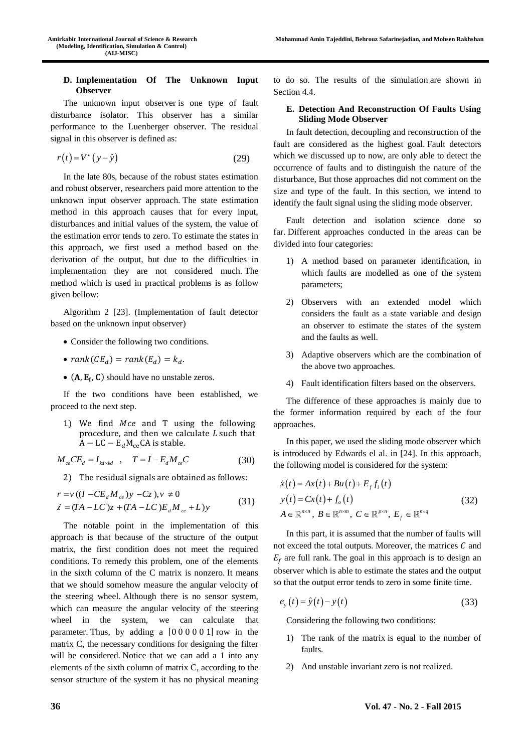## **D. Implementation Of The Unknown Input Observer**

The unknown input observer is one type of fault disturbance isolator. This observer has a similar performance to the Luenberger observer. The residual signal in this observer is defined as:

$$
r(t) = V^*(y - \hat{y})
$$
 (29)

In the late 80s, because of the robust states estimation and robust observer, researchers paid more attention to the unknown input observer approach. The state estimation method in this approach causes that for every input, disturbances and initial values of the system, the value of the estimation error tends to zero. To estimate the states in this approach, we first used a method based on the derivation of the output, but due to the difficulties in implementation they are not considered much. The method which is used in practical problems is as follow given bellow:

Algorithm 2 [\[23\]](#page-12-5). (Implementation of fault detector based on the unknown input observer)

- Consider the following two conditions.
- $rank(CE_d) = rank(E_d) = k_d$ .
- $(A, E_f, C)$  should have no unstable zeros.

If the two conditions have been established, we proceed to the next step.

1) We find  $Mce$  and T using the following procedure, and then we calculate  $L$  such that  $A - LC - E_d M_{ce}CA$  is stable.

$$
M_{ce}CE_d = I_{kdxkd} , T = I - E_d M_{ce}C
$$
 (30)

2) The residual signals are obtained as follows:  
\n
$$
r = v ((I - CE_d M_{ce})y - Cz), v \neq 0
$$
  
\n $\dot{z} = (TA - LC)z + (TA - LC)E_d M_{ce} + L)y$  (31)

The notable point in the implementation of this approach is that because of the structure of the output matrix, the first condition does not meet the required conditions. To remedy this problem, one of the elements in the sixth column of the C matrix is nonzero. It means that we should somehow measure the angular velocity of the steering wheel. Although there is no sensor system, which can measure the angular velocity of the steering wheel in the system, we can calculate that parameter. Thus, by adding a [0 0 0 0 0 1] row in the matrix C, the necessary conditions for designing the filter will be considered. Notice that we can add a 1 into any elements of the sixth column of matrix C, according to the sensor structure of the system it has no physical meaning to do so. The results of the simulation are shown in Section 4.4.

## **E. Detection And Reconstruction Of Faults Using Sliding Mode Observer**

In fault detection, decoupling and reconstruction of the fault are considered as the highest goal. Fault detectors which we discussed up to now, are only able to detect the occurrence of faults and to distinguish the nature of the disturbance, But those approaches did not comment on the size and type of the fault. In this section, we intend to identify the fault signal using the sliding mode observer.

Fault detection and isolation science done so far. Different approaches conducted in the areas can be divided into four categories:

- 1) A method based on parameter identification, in which faults are modelled as one of the system parameters;
- 2) Observers with an extended model which considers the fault as a state variable and design an observer to estimate the states of the system and the faults as well.
- 3) Adaptive observers which are the combination of the above two approaches.
- 4) Fault identification filters based on the observers.

The difference of these approaches is mainly due to the former information required by each of the four approaches.

In this paper, we used the sliding mode observer which is introduced by Edwards el al. in [\[24\]](#page-12-6). In this approach, the following model is considered for the system:

$$
\dot{x}(t) = Ax(t) + Bu(t) + E_f f_i(t)
$$
  
\n
$$
y(t) = Cx(t) + f_o(t)
$$
  
\n
$$
A \in \mathbb{R}^{n \times n}, B \in \mathbb{R}^{n \times m}, C \in \mathbb{R}^{p \times n}, E_f \in \mathbb{R}^{n \times q}
$$
\n(32)

In this part, it is assumed that the number of faults will not exceed the total outputs. Moreover, the matrices  $C$  and  $E_f$  are full rank. The goal in this approach is to design an observer which is able to estimate the states and the output so that the output error tends to zero in some finite time.

$$
e_y(t) = \hat{y}(t) - y(t)
$$
\n(33)

Considering the following two conditions:

- 1) The rank of the matrix is equal to the number of faults.
- 2) And unstable invariant zero is not realized.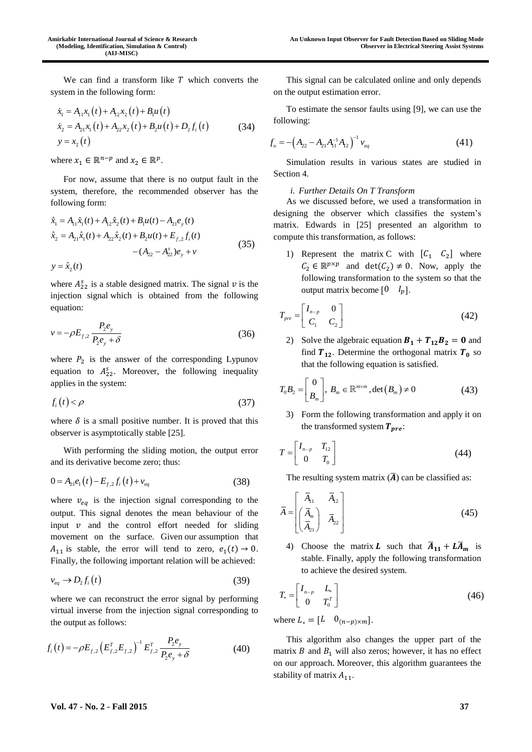We can find a transform like  $T$  which converts the system in the following form:

$$
\dot{x}_1 = A_{11}x_1(t) + A_{12}x_2(t) + B_1u(t)
$$
\n
$$
\dot{x}_2 = A_{21}x_1(t) + A_{22}x_2(t) + B_2u(t) + D_2f_i(t)
$$
\n
$$
y = x_2(t)
$$
\n(34)

where  $x_1 \in \mathbb{R}^{n-p}$  and  $x_2 \in \mathbb{R}^p$ .

For now, assume that there is no output fault in the system, therefore, the recommended observer has the following form:

$$
\hat{x}_1 = A_{11}\hat{x}_1(t) + A_{12}\hat{x}_2(t) + B_1u(t) - A_{21}e_y(t)
$$
\n
$$
\hat{x}_2 = A_{21}\hat{x}_1(t) + A_{22}\hat{x}_2(t) + B_2u(t) + E_{f,2}f_i(t)
$$
\n
$$
- (A_{22} - A_{22}^s)e_y + v
$$
\n(35)

where  $A_{22}^s$  is a stable designed matrix. The signal  $v$  is the injection signal which is obtained from the following equation:

$$
v = -\rho E_{f,2} \frac{P_2 e_y}{P_2 e_y + \delta} \tag{36}
$$

where  $P_2$  is the answer of the corresponding Lypunov equation to  $A_{22}^s$ . Moreover, the following inequality applies in the system:

$$
f_i(t) < \rho \tag{37}
$$

where  $\delta$  is a small positive number. It is proved that this observer is asymptotically stable [\[25\]](#page-12-7).

With performing the sliding motion, the output error and its derivative become zero; thus:

$$
0 = A_{21}e_1(t) - E_{f,2}f_i(t) + v_{eq}
$$
 (38)

where  $v_{eq}$  is the injection signal corresponding to the output. This signal denotes the mean behaviour of the input  $\nu$  and the control effort needed for sliding movement on the surface. Given our assumption that  $A_{11}$  is stable, the error will tend to zero,  $e_1(t) \rightarrow 0$ . Finally, the following important relation will be achieved:

$$
v_{eq} \to D_2 f_i(t) \tag{39}
$$

where we can reconstruct the error signal by performing virtual inverse from the injection signal corresponding to the output as follows:

$$
f_i(t) = -\rho E_{f,2} \left( E_{f,2}^T E_{f,2} \right)^{-1} E_{f,2}^T \frac{P_2 e_y}{P_2 e_y + \delta}
$$
 (40)

This signal can be calculated online and only depends on the output estimation error.

To estimate the sensor faults using [9], we can use the following:

$$
f_o = -\left(A_{22} - A_{21}A_{11}^{-1}A_{12}\right)^{-1} v_{eq}
$$
\n(41)

Simulation results in various states are studied in Section 4.

## *i. Further Details On T Transform*

As we discussed before, we used a transformation in designing the observer which classifies the system's matrix. Edwards in [\[25\]](#page-12-7) presented an algorithm to compute this transformation, as follows:

1) Represent the matrix C with  $[C_1 \quad C_2]$  where  $C_2 \in \mathbb{R}^{p \times p}$  and  $\det(C_2) \neq 0$ . Now, apply the following transformation to the system so that the output matrix become  $\begin{bmatrix} 0 & I_p \end{bmatrix}$ .

$$
T_{pre} = \begin{bmatrix} I_{n-p} & 0 \\ C_1 & C_2 \end{bmatrix} \tag{42}
$$

2) Solve the algebraic equation  $B_1 + T_{12}B_2 = 0$  and find  $T_{12}$ . Determine the orthogonal matrix  $T_0$  so that the following equation is satisfied.

$$
T_0 B_2 = \begin{bmatrix} 0 \\ B_m \end{bmatrix}, B_m \in \mathbb{R}^{m \times m}, \det(B_m) \neq 0
$$
 (43)

3) Form the following transformation and apply it on the transformed system  $T_{pre}$ :

$$
T = \begin{bmatrix} I_{n-p} & T_{12} \\ 0 & T_0 \end{bmatrix} \tag{44}
$$

The resulting system matrix  $(\overline{A})$  can be classified as:

$$
\overline{A} = \begin{bmatrix} \overline{A}_{11} & \overline{A}_{12} \\ \overline{A}_{21} & \overline{A}_{22} \end{bmatrix} \tag{45}
$$

4) Choose the matrix **L** such that  $\overline{A}_{11} + \overline{A}_{m}$  is stable. Finally, apply the following transformation to achieve the desired system.

$$
T_* = \begin{bmatrix} I_{n-p} & L_* \\ 0 & T_0^T \end{bmatrix} \tag{46}
$$

where  $L_* = [L \quad 0_{(n-p)\times m}]$ .

This algorithm also changes the upper part of the matrix  $B$  and  $B_1$  will also zeros; however, it has no effect on our approach. Moreover, this algorithm guarantees the stability of matrix  $A_{11}$ .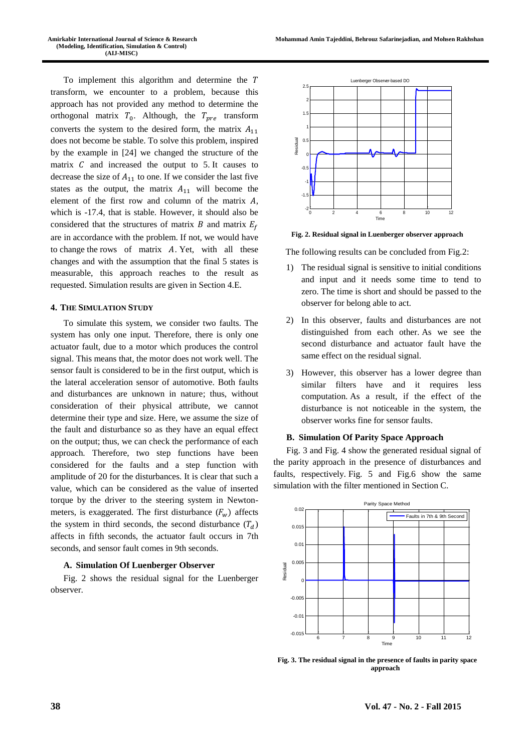To implement this algorithm and determine the transform, we encounter to a problem, because this approach has not provided any method to determine the orthogonal matrix  $T_0$ . Although, the  $T_{pre}$  transform converts the system to the desired form, the matrix  $A_{11}$ does not become be stable. To solve this problem, inspired by the example in [\[24\]](#page-12-6) we changed the structure of the matrix  $C$  and increased the output to  $5$ . It causes to decrease the size of  $A_{11}$  to one. If we consider the last five states as the output, the matrix  $A_{11}$  will become the element of the first row and column of the matrix  $A$ , which is -17.4, that is stable. However, it should also be considered that the structures of matrix  $B$  and matrix  $E_f$ are in accordance with the problem. If not, we would have to change the rows of matrix  $A$ . Yet, with all these changes and with the assumption that the final 5 states is measurable, this approach reaches to the result as requested. Simulation results are given in Section 4.E.

#### **4. THE SIMULATION STUDY**

To simulate this system, we consider two faults. The system has only one input. Therefore, there is only one actuator fault, due to a motor which produces the control signal. This means that, the motor does not work well. The sensor fault is considered to be in the first output, which is the lateral acceleration sensor of automotive. Both faults and disturbances are unknown in nature; thus, without consideration of their physical attribute, we cannot determine their type and size. Here, we assume the size of the fault and disturbance so as they have an equal effect on the output; thus, we can check the performance of each approach. Therefore, two step functions have been considered for the faults and a step function with amplitude of 20 for the disturbances. It is clear that such a value, which can be considered as the value of inserted torque by the driver to the steering system in Newtonmeters, is exaggerated. The first disturbance  $(F_w)$  affects the system in third seconds, the second disturbance  $(T_d)$ affects in fifth seconds, the actuator fault occurs in 7th seconds, and sensor fault comes in 9th seconds.

## **A. Simulation Of Luenberger Observer**

Fig. 2 shows the residual signal for the Luenberger observer.



**Fig. 2. Residual signal in Luenberger observer approach**

The following results can be concluded from Fig.2:

- 1) The residual signal is sensitive to initial conditions and input and it needs some time to tend to zero. The time is short and should be passed to the observer for belong able to act.
- 2) In this observer, faults and disturbances are not distinguished from each other. As we see the second disturbance and actuator fault have the same effect on the residual signal.
- 3) However, this observer has a lower degree than similar filters have and it requires less computation. As a result, if the effect of the disturbance is not noticeable in the system, the observer works fine for sensor faults.

## **B. Simulation Of Parity Space Approach**

Fig. 3 and Fig. 4 show the generated residual signal of the parity approach in the presence of disturbances and faults, respectively. Fig. 5 and Fig.6 show the same simulation with the filter mentioned in Section C.



**Fig. 3. The residual signal in the presence of faults in parity space approach**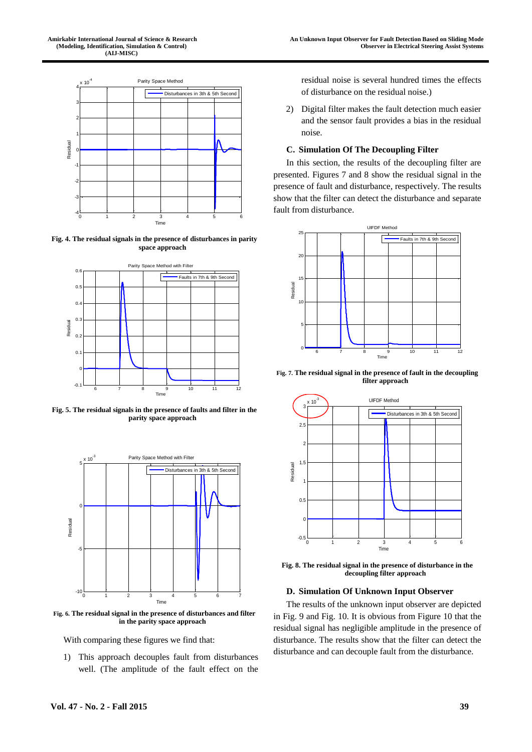

**Fig. 4. The residual signals in the presence of disturbances in parity space approach**



**Fig. 5. The residual signals in the presence of faults and filter in the parity space approach**



**Fig. 6. The residual signal in the presence of disturbances and filter in the parity space approach**

With comparing these figures we find that:

1) This approach decouples fault from disturbances well. (The amplitude of the fault effect on the

residual noise is several hundred times the effects of disturbance on the residual noise.)

2) Digital filter makes the fault detection much easier and the sensor fault provides a bias in the residual noise.

#### **C. Simulation Of The Decoupling Filter**

In this section, the results of the decoupling filter are presented. Figures 7 and 8 show the residual signal in the presence of fault and disturbance, respectively. The results show that the filter can detect the disturbance and separate fault from disturbance.



**Fig. 7. The residual signal in the presence of fault in the decoupling filter approach**



**Fig. 8. The residual signal in the presence of disturbance in the decoupling filter approach**

#### **D. Simulation Of Unknown Input Observer**

The results of the unknown input observer are depicted in Fig. 9 and Fig. 10. It is obvious from Figure 10 that the residual signal has negligible amplitude in the presence of disturbance. The results show that the filter can detect the disturbance and can decouple fault from the disturbance.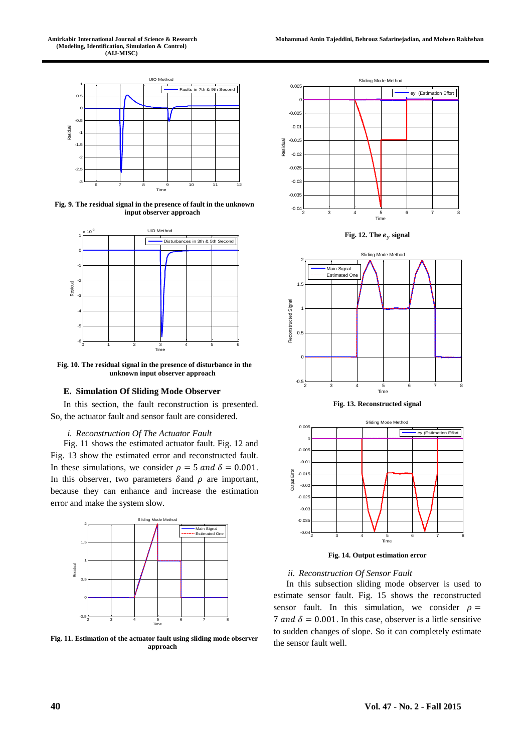

**Fig. 9. The residual signal in the presence of fault in the unknown input observer approach**



**Fig. 10. The residual signal in the presence of disturbance in the unknown input observer approach**

## **E. Simulation Of Sliding Mode Observer**

In this section, the fault reconstruction is presented. So, the actuator fault and sensor fault are considered.

#### *i. Reconstruction Of The Actuator Fault*

Fig. 11 shows the estimated actuator fault. Fig. 12 and Fig. 13 show the estimated error and reconstructed fault. In these simulations, we consider  $\rho = 5$  and  $\delta = 0.001$ . In this observer, two parameters  $\delta$  and  $\rho$  are important, because they can enhance and increase the estimation error and make the system slow.



**Fig. 11. Estimation of the actuator fault using sliding mode observer approach**







**Fig. 13. Reconstructed signal**



**Fig. 14. Output estimation error**

#### *ii. Reconstruction Of Sensor Fault*

In this subsection sliding mode observer is used to estimate sensor fault. Fig. 15 shows the reconstructed sensor fault. In this simulation, we consider  $\rho =$ 7 and  $\delta = 0.001$ . In this case, observer is a little sensitive to sudden changes of slope. So it can completely estimate the sensor fault well.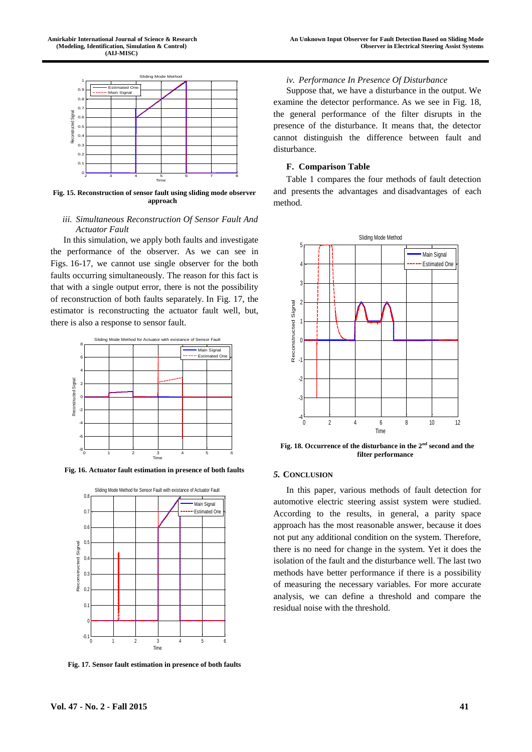

**Fig. 15. Reconstruction of sensor fault using sliding mode observer approach**

## *iii. Simultaneous Reconstruction Of Sensor Fault And Actuator Fault*

In this simulation, we apply both faults and investigate the performance of the observer. As we can see in Figs. 16-17, we cannot use single observer for the both faults occurring simultaneously. The reason for this fact is that with a single output error, there is not the possibility of reconstruction of both faults separately. In Fig. 17, the estimator is reconstructing the actuator fault well, but, there is also a response to sensor fault.



**Fig. 16. Actuator fault estimation in presence of both faults**



**Fig. 17. Sensor fault estimation in presence of both faults**

## *iv. Performance In Presence Of Disturbance*

Suppose that, we have a disturbance in the output. We examine the detector performance. As we see in Fig. 18, the general performance of the filter disrupts in the presence of the disturbance. It means that, the detector cannot distinguish the difference between fault and disturbance.

## **F. Comparison Table**

Table 1 compares the four methods of fault detection and presents the advantages and disadvantages of each method.



**Fig. 18. Occurrence of the disturbance in the 2nd second and the filter performance**

# *5.* **CONCLUSION**

In this paper, various methods of fault detection for automotive electric steering assist system were studied. According to the results, in general, a parity space approach has the most reasonable answer, because it does not put any additional condition on the system. Therefore, there is no need for change in the system. Yet it does the isolation of the fault and the disturbance well. The last two methods have better performance if there is a possibility of measuring the necessary variables. For more accurate analysis, we can define a threshold and compare the residual noise with the threshold.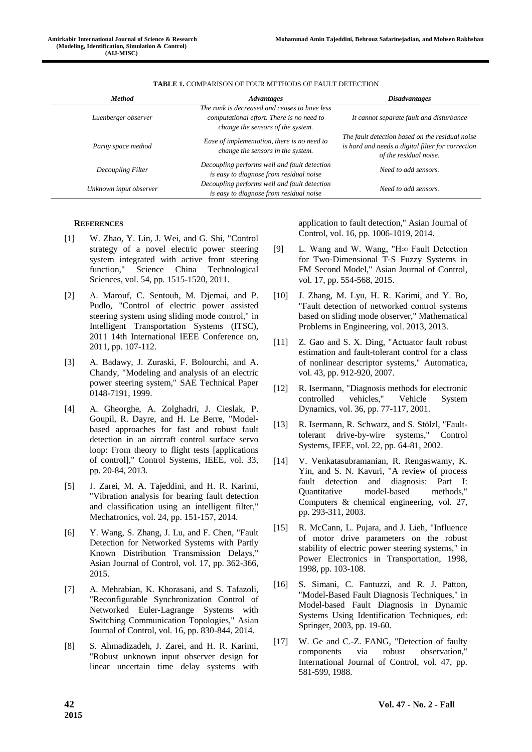| <b>Method</b>          | <b>Advantages</b>                                                                                                               | <i><b>Disadvantages</b></i>                                                                                                    |
|------------------------|---------------------------------------------------------------------------------------------------------------------------------|--------------------------------------------------------------------------------------------------------------------------------|
| Luenberger observer    | The rank is decreased and ceases to have less<br>computational effort. There is no need to<br>change the sensors of the system. | It cannot separate fault and disturbance                                                                                       |
| Parity space method    | Ease of implementation, there is no need to<br>change the sensors in the system.                                                | The fault detection based on the residual noise<br>is hard and needs a digital filter for correction<br>of the residual noise. |
| Decoupling Filter      | Decoupling performs well and fault detection<br>is easy to diagnose from residual noise                                         | Need to add sensors.                                                                                                           |
| Unknown input observer | Decoupling performs well and fault detection<br>is easy to diagnose from residual noise                                         | Need to add sensors.                                                                                                           |

#### **TABLE 1.** COMPARISON OF FOUR METHODS OF FAULT DETECTION

#### **REFERENCES**

- <span id="page-11-0"></span>[1] W. Zhao, Y. Lin, J. Wei, and G. Shi, "Control strategy of a novel electric power steering system integrated with active front steering function," Science China Technological Sciences, vol. 54, pp. 1515-1520, 2011.
- <span id="page-11-1"></span>[2] A. Marouf, C. Sentouh, M. Djemai, and P. Pudlo, "Control of electric power assisted steering system using sliding mode control," in Intelligent Transportation Systems (ITSC), 2011 14th International IEEE Conference on, 2011, pp. 107-112.
- <span id="page-11-2"></span>[3] A. Badawy, J. Zuraski, F. Bolourchi, and A. Chandy, "Modeling and analysis of an electric power steering system," SAE Technical Paper 0148-7191, 1999.
- <span id="page-11-3"></span>[4] A. Gheorghe, A. Zolghadri, J. Cieslak, P. Goupil, R. Dayre, and H. Le Berre, "Modelbased approaches for fast and robust fault detection in an aircraft control surface servo loop: From theory to flight tests [applications of control]," Control Systems, IEEE, vol. 33, pp. 20-84, 2013.
- <span id="page-11-4"></span>[5] J. Zarei, M. A. Tajeddini, and H. R. Karimi, "Vibration analysis for bearing fault detection and classification using an intelligent filter," Mechatronics, vol. 24, pp. 151-157, 2014.
- [6] Y. Wang, S. Zhang, J. Lu, and F. Chen, "Fault Detection for Networked Systems with Partly Known Distribution Transmission Delays," Asian Journal of Control, vol. 17, pp. 362-366, 2015.
- [7] A. Mehrabian, K. Khorasani, and S. Tafazoli, "Reconfigurable Synchronization Control of Networked Euler‐Lagrange Systems with Switching Communication Topologies," Asian Journal of Control, vol. 16, pp. 830-844, 2014.
- <span id="page-11-5"></span>[8] S. Ahmadizadeh, J. Zarei, and H. R. Karimi, "Robust unknown input observer design for linear uncertain time delay systems with

application to fault detection," Asian Journal of Control, vol. 16, pp. 1006-1019, 2014.

- <span id="page-11-6"></span>[9] L. Wang and W. Wang, "H∞ Fault Detection for Two‐Dimensional T‐S Fuzzy Systems in FM Second Model," Asian Journal of Control, vol. 17, pp. 554-568, 2015.
- <span id="page-11-7"></span>[10] J. Zhang, M. Lyu, H. R. Karimi, and Y. Bo, "Fault detection of networked control systems based on sliding mode observer," Mathematical Problems in Engineering, vol. 2013, 2013.
- <span id="page-11-8"></span>[11] Z. Gao and S. X. Ding, "Actuator fault robust" estimation and fault-tolerant control for a class of nonlinear descriptor systems," Automatica, vol. 43, pp. 912-920, 2007.
- <span id="page-11-9"></span>[12] R. Isermann, "Diagnosis methods for electronic controlled vehicles," Vehicle System Dynamics, vol. 36, pp. 77-117, 2001.
- <span id="page-11-10"></span>[13] R. Isermann, R. Schwarz, and S. Stölzl, "Faulttolerant drive-by-wire systems," Control Systems, IEEE, vol. 22, pp. 64-81, 2002.
- [14] V. Venkatasubramanian, R. Rengaswamy, K. Yin, and S. N. Kavuri, "A review of process fault detection and diagnosis: Part I: Quantitative model-based methods," Computers & chemical engineering, vol. 27, pp. 293-311, 2003.
- <span id="page-11-11"></span>[15] R. McCann, L. Pujara, and J. Lieh, "Influence of motor drive parameters on the robust stability of electric power steering systems," in Power Electronics in Transportation, 1998, 1998, pp. 103-108.
- <span id="page-11-12"></span>[16] S. Simani, C. Fantuzzi, and R. J. Patton, "Model-Based Fault Diagnosis Techniques," in Model-based Fault Diagnosis in Dynamic Systems Using Identification Techniques, ed: Springer, 2003, pp. 19-60.
- <span id="page-11-13"></span>[17] W. Ge and C.-Z. FANG, "Detection of faulty components via robust observation," International Journal of Control, vol. 47, pp. 581-599, 1988.